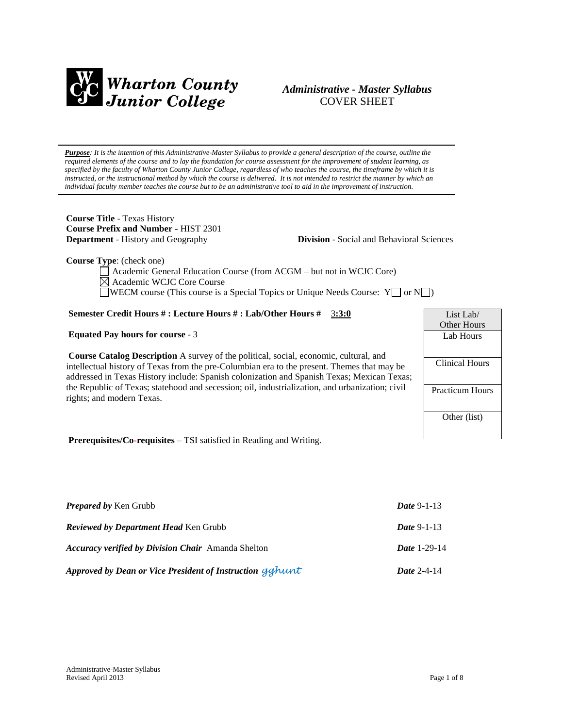

## *Administrative - Master Syllabus*  COVER SHEET

*Purpose: It is the intention of this Administrative-Master Syllabus to provide a general description of the course, outline the required elements of the course and to lay the foundation for course assessment for the improvement of student learning, as specified by the faculty of Wharton County Junior College, regardless of who teaches the course, the timeframe by which it is instructed, or the instructional method by which the course is delivered. It is not intended to restrict the manner by which an individual faculty member teaches the course but to be an administrative tool to aid in the improvement of instruction.*

**Course Title** - Texas History **Course Prefix and Number** - HIST 2301

**Department** - History and Geography **Division** - Social and Behavioral Sciences

**Course Type**: (check one)

Academic General Education Course (from ACGM – but not in WCJC Core) Academic WCJC Core Course WECM course (This course is a Special Topics or Unique Needs Course:  $Y \cup \sigma N \cup$ )

## **Semester Credit Hours # : Lecture Hours # : Lab/Other Hours #** 3**:3:0**

### **Equated Pay hours for course** - 3

**Course Catalog Description** A survey of the political, social, economic, cultural, and intellectual history of Texas from the pre-Columbian era to the present. Themes that may be addressed in Texas History include: Spanish colonization and Spanish Texas; Mexican Texas; the Republic of Texas; statehood and secession; oil, industrialization, and urbanization; civil rights; and modern Texas.

List Lab/ Other Hours Lab Hours Clinical Hours Practicum Hours Other (list)

**Prerequisites/Co-requisites** – TSI satisfied in Reading and Writing.

| <b>Prepared by Ken Grubb</b>                              | <b>Date 9-1-13</b>  |
|-----------------------------------------------------------|---------------------|
| <b>Reviewed by Department Head Ken Grubb</b>              | <i>Date</i> 9-1-13  |
| <b>Accuracy verified by Division Chair</b> Amanda Shelton | <b>Date 1-29-14</b> |
| Approved by Dean or Vice President of Instruction gghunt  | Date $2-4-14$       |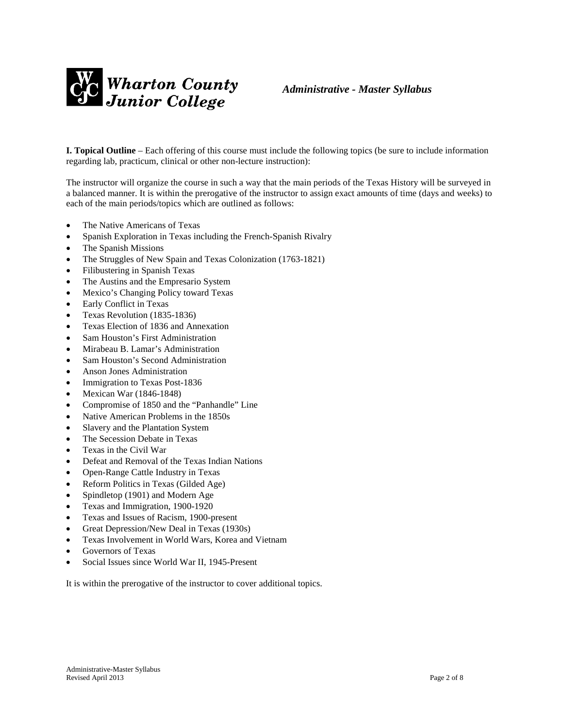

**I. Topical Outline** – Each offering of this course must include the following topics (be sure to include information regarding lab, practicum, clinical or other non-lecture instruction):

The instructor will organize the course in such a way that the main periods of the Texas History will be surveyed in a balanced manner. It is within the prerogative of the instructor to assign exact amounts of time (days and weeks) to each of the main periods/topics which are outlined as follows:

- The Native Americans of Texas
- Spanish Exploration in Texas including the French-Spanish Rivalry
- The Spanish Missions
- The Struggles of New Spain and Texas Colonization (1763-1821)
- Filibustering in Spanish Texas
- The Austins and the Empresario System
- Mexico's Changing Policy toward Texas
- Early Conflict in Texas
- Texas Revolution (1835-1836)
- Texas Election of 1836 and Annexation
- Sam Houston's First Administration
- Mirabeau B. Lamar's Administration
- Sam Houston's Second Administration
- Anson Jones Administration
- Immigration to Texas Post-1836
- Mexican War (1846-1848)
- Compromise of 1850 and the "Panhandle" Line
- Native American Problems in the 1850s
- Slavery and the Plantation System
- The Secession Debate in Texas
- Texas in the Civil War
- Defeat and Removal of the Texas Indian Nations
- Open-Range Cattle Industry in Texas
- Reform Politics in Texas (Gilded Age)
- Spindletop (1901) and Modern Age
- Texas and Immigration, 1900-1920
- Texas and Issues of Racism, 1900-present
- Great Depression/New Deal in Texas (1930s)
- Texas Involvement in World Wars, Korea and Vietnam
- Governors of Texas
- Social Issues since World War II, 1945-Present

It is within the prerogative of the instructor to cover additional topics.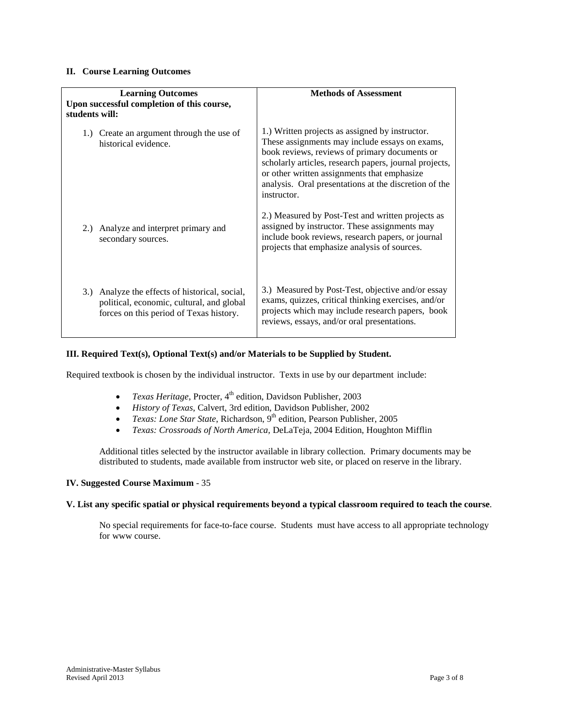### **II. Course Learning Outcomes**

| <b>Learning Outcomes</b><br>Upon successful completion of this course,<br>students will:                                               | <b>Methods of Assessment</b>                                                                                                                                                                                                                                                                                                        |
|----------------------------------------------------------------------------------------------------------------------------------------|-------------------------------------------------------------------------------------------------------------------------------------------------------------------------------------------------------------------------------------------------------------------------------------------------------------------------------------|
| 1.) Create an argument through the use of<br>historical evidence.                                                                      | 1.) Written projects as assigned by instructor.<br>These assignments may include essays on exams,<br>book reviews, reviews of primary documents or<br>scholarly articles, research papers, journal projects,<br>or other written assignments that emphasize<br>analysis. Oral presentations at the discretion of the<br>instructor. |
| 2.) Analyze and interpret primary and<br>secondary sources.                                                                            | 2.) Measured by Post-Test and written projects as<br>assigned by instructor. These assignments may<br>include book reviews, research papers, or journal<br>projects that emphasize analysis of sources.                                                                                                                             |
| 3.) Analyze the effects of historical, social,<br>political, economic, cultural, and global<br>forces on this period of Texas history. | 3.) Measured by Post-Test, objective and/or essay<br>exams, quizzes, critical thinking exercises, and/or<br>projects which may include research papers, book<br>reviews, essays, and/or oral presentations.                                                                                                                         |

## **III. Required Text(s), Optional Text(s) and/or Materials to be Supplied by Student.**

Required textbook is chosen by the individual instructor. Texts in use by our department include:

- *Texas Heritage*, Procter, 4<sup>th</sup> edition, Davidson Publisher, 2003
- *History of Texas*, Calvert, 3rd edition, Davidson Publisher, 2002
- *Texas: Lone Star State*, Richardson, 9<sup>th</sup> edition, Pearson Publisher, 2005
- *Texas: Crossroads of North America,* DeLaTeja, 2004 Edition, Houghton Mifflin

Additional titles selected by the instructor available in library collection. Primary documents may be distributed to students, made available from instructor web site, or placed on reserve in the library.

## **IV. Suggested Course Maximum** - 35

#### **V. List any specific spatial or physical requirements beyond a typical classroom required to teach the course**.

No special requirements for face-to-face course. Students must have access to all appropriate technology for www course.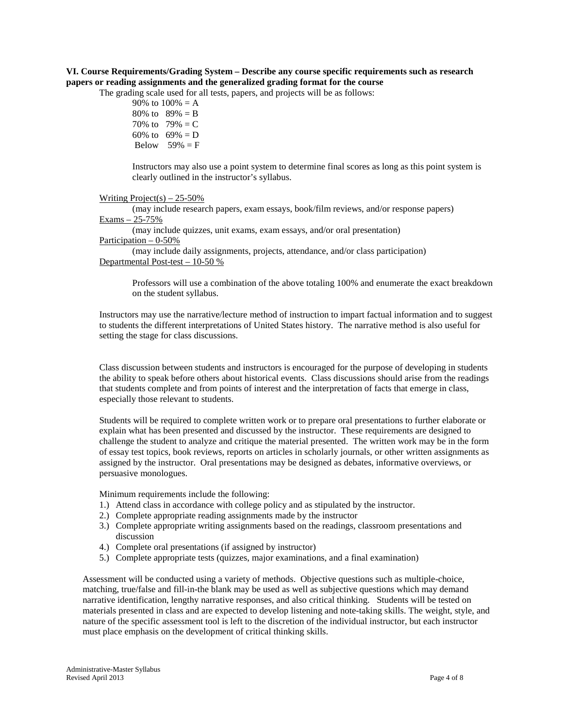## **VI. Course Requirements/Grading System – Describe any course specific requirements such as research papers or reading assignments and the generalized grading format for the course**

The grading scale used for all tests, papers, and projects will be as follows:

90% to  $100% = A$ 80% to  $89% = B$ 70% to  $79% = C$ 60% to  $69\% = D$ Below  $59\% = F$ 

Instructors may also use a point system to determine final scores as long as this point system is clearly outlined in the instructor's syllabus.

#### Writing Project(s)  $-25-50\%$

(may include research papers, exam essays, book/film reviews, and/or response papers) Exams – 25-75%

(may include quizzes, unit exams, exam essays, and/or oral presentation) Participation – 0-50%

(may include daily assignments, projects, attendance, and/or class participation) Departmental Post-test – 10-50 %

Professors will use a combination of the above totaling 100% and enumerate the exact breakdown on the student syllabus.

Instructors may use the narrative/lecture method of instruction to impart factual information and to suggest to students the different interpretations of United States history. The narrative method is also useful for setting the stage for class discussions.

Class discussion between students and instructors is encouraged for the purpose of developing in students the ability to speak before others about historical events. Class discussions should arise from the readings that students complete and from points of interest and the interpretation of facts that emerge in class, especially those relevant to students.

Students will be required to complete written work or to prepare oral presentations to further elaborate or explain what has been presented and discussed by the instructor. These requirements are designed to challenge the student to analyze and critique the material presented. The written work may be in the form of essay test topics, book reviews, reports on articles in scholarly journals, or other written assignments as assigned by the instructor. Oral presentations may be designed as debates, informative overviews, or persuasive monologues.

Minimum requirements include the following:

- 1.) Attend class in accordance with college policy and as stipulated by the instructor.
- 2.) Complete appropriate reading assignments made by the instructor
- 3.) Complete appropriate writing assignments based on the readings, classroom presentations and discussion
- 4.) Complete oral presentations (if assigned by instructor)
- 5.) Complete appropriate tests (quizzes, major examinations, and a final examination)

Assessment will be conducted using a variety of methods. Objective questions such as multiple-choice, matching, true/false and fill-in-the blank may be used as well as subjective questions which may demand narrative identification, lengthy narrative responses, and also critical thinking. Students will be tested on materials presented in class and are expected to develop listening and note-taking skills. The weight, style, and nature of the specific assessment tool is left to the discretion of the individual instructor, but each instructor must place emphasis on the development of critical thinking skills.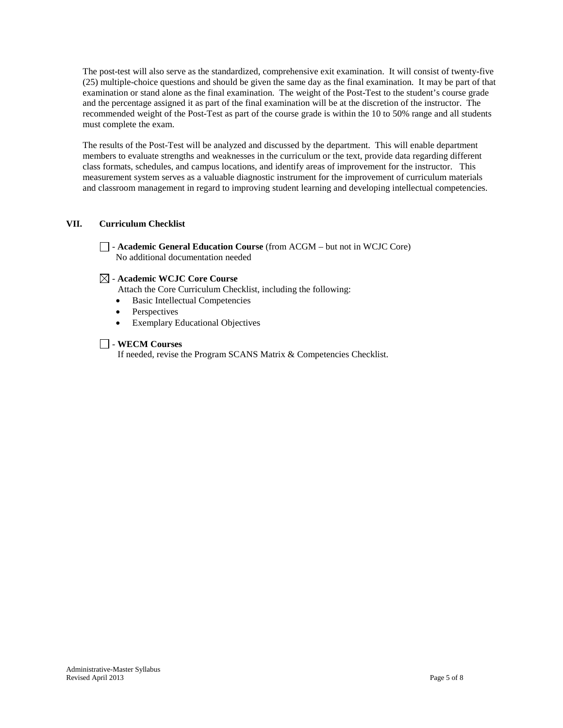The post-test will also serve as the standardized, comprehensive exit examination. It will consist of twenty-five (25) multiple-choice questions and should be given the same day as the final examination. It may be part of that examination or stand alone as the final examination. The weight of the Post-Test to the student's course grade and the percentage assigned it as part of the final examination will be at the discretion of the instructor. The recommended weight of the Post-Test as part of the course grade is within the 10 to 50% range and all students must complete the exam.

The results of the Post-Test will be analyzed and discussed by the department. This will enable department members to evaluate strengths and weaknesses in the curriculum or the text, provide data regarding different class formats, schedules, and campus locations, and identify areas of improvement for the instructor. This measurement system serves as a valuable diagnostic instrument for the improvement of curriculum materials and classroom management in regard to improving student learning and developing intellectual competencies.

## **VII. Curriculum Checklist**

- **Academic General Education Course** (from ACGM – but not in WCJC Core) No additional documentation needed

## - **Academic WCJC Core Course**

Attach the Core Curriculum Checklist, including the following:

- Basic Intellectual Competencies
- Perspectives
- Exemplary Educational Objectives

## - **WECM Courses**

If needed, revise the Program SCANS Matrix & Competencies Checklist.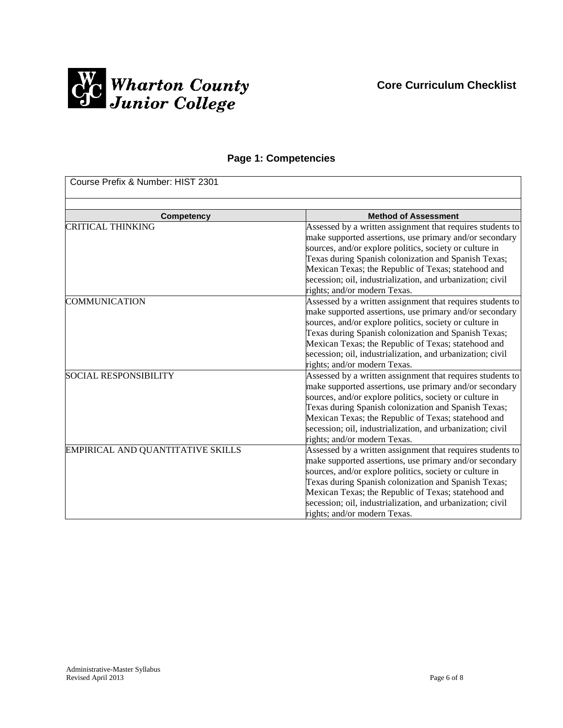

## **Page 1: Competencies**

| Course Prefix & Number: HIST 2301 |                                                                                                                                                                                                                                                                                                                                                                                               |  |
|-----------------------------------|-----------------------------------------------------------------------------------------------------------------------------------------------------------------------------------------------------------------------------------------------------------------------------------------------------------------------------------------------------------------------------------------------|--|
| <b>Competency</b>                 | <b>Method of Assessment</b>                                                                                                                                                                                                                                                                                                                                                                   |  |
| <b>CRITICAL THINKING</b>          | Assessed by a written assignment that requires students to<br>make supported assertions, use primary and/or secondary<br>sources, and/or explore politics, society or culture in<br>Texas during Spanish colonization and Spanish Texas;<br>Mexican Texas; the Republic of Texas; statehood and<br>secession; oil, industrialization, and urbanization; civil<br>rights; and/or modern Texas. |  |
| <b>COMMUNICATION</b>              | Assessed by a written assignment that requires students to<br>make supported assertions, use primary and/or secondary<br>sources, and/or explore politics, society or culture in<br>Texas during Spanish colonization and Spanish Texas;<br>Mexican Texas; the Republic of Texas; statehood and<br>secession; oil, industrialization, and urbanization; civil<br>rights; and/or modern Texas. |  |
| <b>SOCIAL RESPONSIBILITY</b>      | Assessed by a written assignment that requires students to<br>make supported assertions, use primary and/or secondary<br>sources, and/or explore politics, society or culture in<br>Texas during Spanish colonization and Spanish Texas;<br>Mexican Texas; the Republic of Texas; statehood and<br>secession; oil, industrialization, and urbanization; civil<br>rights; and/or modern Texas. |  |
| EMPIRICAL AND QUANTITATIVE SKILLS | Assessed by a written assignment that requires students to<br>make supported assertions, use primary and/or secondary<br>sources, and/or explore politics, society or culture in<br>Texas during Spanish colonization and Spanish Texas;<br>Mexican Texas; the Republic of Texas; statehood and<br>secession; oil, industrialization, and urbanization; civil<br>rights; and/or modern Texas. |  |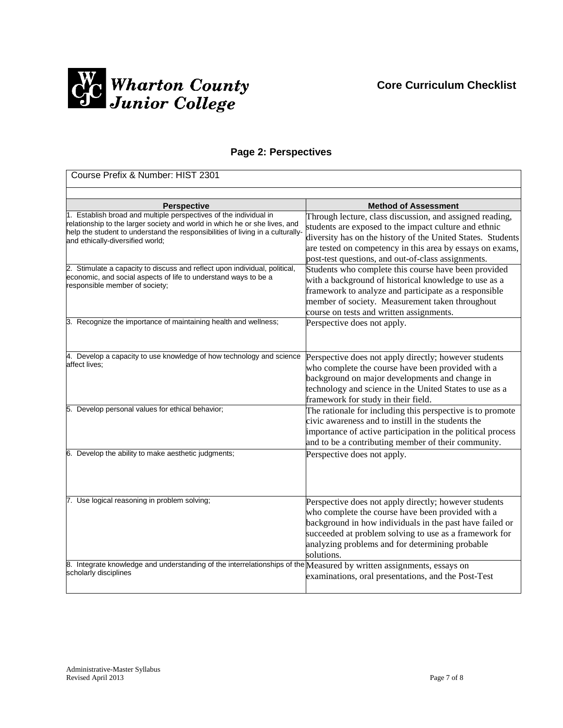

# **Page 2: Perspectives**

| Course Prefix & Number: HIST 2301                                                                                                                                                                                                                                     |                                                                                                                                                                                                                                                                                                     |  |
|-----------------------------------------------------------------------------------------------------------------------------------------------------------------------------------------------------------------------------------------------------------------------|-----------------------------------------------------------------------------------------------------------------------------------------------------------------------------------------------------------------------------------------------------------------------------------------------------|--|
|                                                                                                                                                                                                                                                                       |                                                                                                                                                                                                                                                                                                     |  |
| <b>Perspective</b>                                                                                                                                                                                                                                                    | <b>Method of Assessment</b>                                                                                                                                                                                                                                                                         |  |
| 1. Establish broad and multiple perspectives of the individual in<br>relationship to the larger society and world in which he or she lives, and<br>help the student to understand the responsibilities of living in a culturally-<br>and ethically-diversified world; | Through lecture, class discussion, and assigned reading,<br>students are exposed to the impact culture and ethnic<br>diversity has on the history of the United States. Students<br>are tested on competency in this area by essays on exams,<br>post-test questions, and out-of-class assignments. |  |
| 2. Stimulate a capacity to discuss and reflect upon individual, political,<br>economic, and social aspects of life to understand ways to be a<br>responsible member of society;                                                                                       | Students who complete this course have been provided<br>with a background of historical knowledge to use as a<br>framework to analyze and participate as a responsible<br>member of society. Measurement taken throughout<br>course on tests and written assignments.                               |  |
| 3. Recognize the importance of maintaining health and wellness;                                                                                                                                                                                                       | Perspective does not apply.                                                                                                                                                                                                                                                                         |  |
| 4. Develop a capacity to use knowledge of how technology and science<br>affect lives;                                                                                                                                                                                 | Perspective does not apply directly; however students<br>who complete the course have been provided with a<br>background on major developments and change in<br>technology and science in the United States to use as a<br>framework for study in their field.                                      |  |
| 5. Develop personal values for ethical behavior;                                                                                                                                                                                                                      | The rationale for including this perspective is to promote<br>civic awareness and to instill in the students the<br>importance of active participation in the political process<br>and to be a contributing member of their community.                                                              |  |
| 6. Develop the ability to make aesthetic judgments;                                                                                                                                                                                                                   | Perspective does not apply.                                                                                                                                                                                                                                                                         |  |
| 7. Use logical reasoning in problem solving;                                                                                                                                                                                                                          | Perspective does not apply directly; however students<br>who complete the course have been provided with a<br>background in how individuals in the past have failed or<br>succeeded at problem solving to use as a framework for<br>analyzing problems and for determining probable<br>solutions.   |  |
| 8. Integrate knowledge and understanding of the interrelationships of the Measured by written assignments, essays on<br>scholarly disciplines                                                                                                                         | examinations, oral presentations, and the Post-Test                                                                                                                                                                                                                                                 |  |